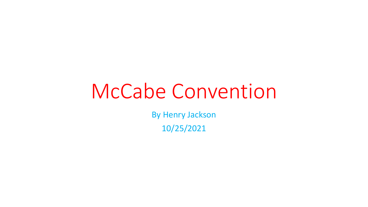## McCabe Convention

By Henry Jackson 10/25/2021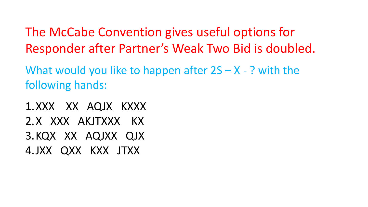What would you like to happen after  $2S - X - ?$  with the following hands:

1.XXX XX AQJX KXXX 2.X XXX AKJTXXX KX 3.KQX XX AQJXX QJX 4.JXX QXX KXX JTXX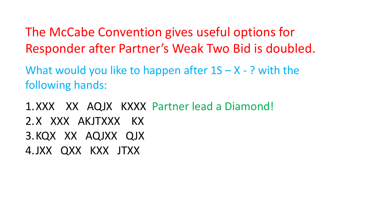What would you like to happen after  $1S - X - ?$  with the following hands:

1.XXX XX AQJX KXXX Partner lead a Diamond! 2.X XXX AKJTXXX KX 3.KQX XX AQJXX QJX 4.JXX QXX KXX JTXX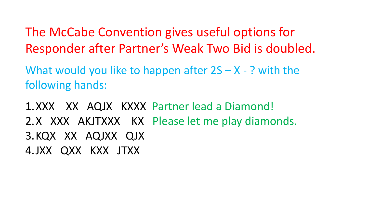What would you like to happen after  $2S - X - ?$  with the following hands:

1.XXX XX AQJX KXXX Partner lead a Diamond! 2.X XXX AKJTXXX KX Please let me play diamonds. 3.KQX XX AQJXX QJX 4.JXX QXX KXX JTXX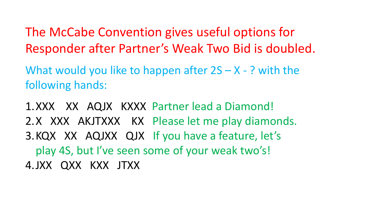What would you like to happen after  $2S - X - ?$  with the following hands:

1.XXX XX AQJX KXXX Partner lead a Diamond! 2.X XXX AKJTXXX KX Please let me play diamonds. 3.KQX XX AQJXX QJX If you have a feature, let's play 4S, but I've seen some of your weak two's! 4.JXX QXX KXX JTXX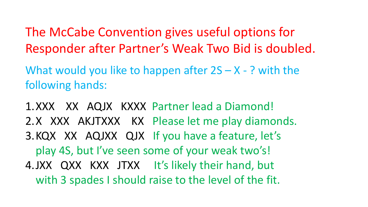What would you like to happen after  $2S - X - ?$  with the following hands:

1.XXX XX AQJX KXXX Partner lead a Diamond! 2.X XXX AKJTXXX KX Please let me play diamonds. 3.KQX XX AQJXX QJX If you have a feature, let's play 4S, but I've seen some of your weak two's! 4.JXX QXX KXX JTXX It's likely their hand, but with 3 spades I should raise to the level of the fit.